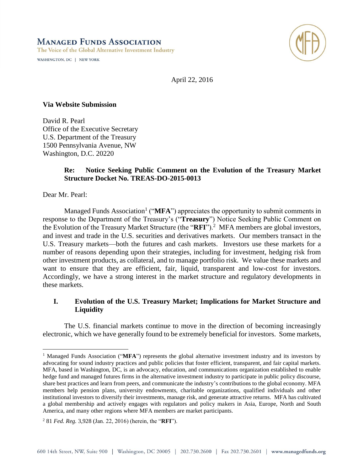**MANAGED FUNDS ASSOCIATION** The Voice of the Global Alternative Investment Industry

WASHINGTON, DC | NEW YORK



April 22, 2016

#### **Via Website Submission**

David R. Pearl Office of the Executive Secretary U.S. Department of the Treasury 1500 Pennsylvania Avenue, NW Washington, D.C. 20220

#### **Re: Notice Seeking Public Comment on the Evolution of the Treasury Market Structure Docket No. TREAS-DO-2015-0013**

Dear Mr. Pearl:

 $\overline{a}$ 

Managed Funds Association<sup>1</sup> ("MFA") appreciates the opportunity to submit comments in response to the Department of the Treasury's ("**Treasury**") Notice Seeking Public Comment on the Evolution of the Treasury Market Structure (the "RFI").<sup>2</sup> MFA members are global investors, and invest and trade in the U.S. securities and derivatives markets. Our members transact in the U.S. Treasury markets—both the futures and cash markets. Investors use these markets for a number of reasons depending upon their strategies, including for investment, hedging risk from other investment products, as collateral, and to manage portfolio risk. We value these markets and want to ensure that they are efficient, fair, liquid, transparent and low-cost for investors. Accordingly, we have a strong interest in the market structure and regulatory developments in these markets.

# **I. Evolution of the U.S. Treasury Market; Implications for Market Structure and Liquidity**

The U.S. financial markets continue to move in the direction of becoming increasingly electronic, which we have generally found to be extremely beneficial for investors. Some markets,

<sup>&</sup>lt;sup>1</sup> Managed Funds Association ("MFA") represents the global alternative investment industry and its investors by advocating for sound industry practices and public policies that foster efficient, transparent, and fair capital markets. MFA, based in Washington, DC, is an advocacy, education, and communications organization established to enable hedge fund and managed futures firms in the alternative investment industry to participate in public policy discourse, share best practices and learn from peers, and communicate the industry's contributions to the global economy. MFA members help pension plans, university endowments, charitable organizations, qualified individuals and other institutional investors to diversify their investments, manage risk, and generate attractive returns. MFA has cultivated a global membership and actively engages with regulators and policy makers in Asia, Europe, North and South America, and many other regions where MFA members are market participants.

<sup>2</sup> 81 *Fed. Reg.* 3,928 (Jan. 22, 2016) (herein, the "**RFI**").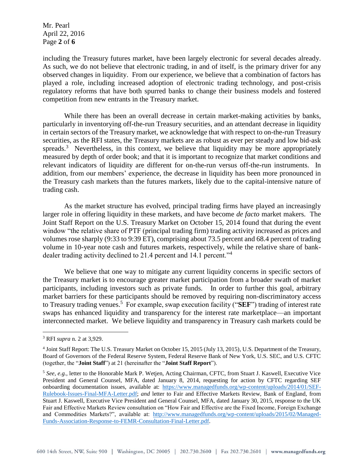Mr. Pearl April 22, 2016 Page **2** of **6**

including the Treasury futures market, have been largely electronic for several decades already. As such, we do not believe that electronic trading, in and of itself, is the primary driver for any observed changes in liquidity. From our experience, we believe that a combination of factors has played a role, including increased adoption of electronic trading technology, and post-crisis regulatory reforms that have both spurred banks to change their business models and fostered competition from new entrants in the Treasury market.

While there has been an overall decrease in certain market-making activities by banks, particularly in inventorying off-the-run Treasury securities, and an attendant decrease in liquidity in certain sectors of the Treasury market, we acknowledge that with respect to on-the-run Treasury securities, as the RFI states, the Treasury markets are as robust as ever per steady and low bid-ask spreads.<sup>3</sup> Nevertheless, in this context, we believe that liquidity may be more appropriately measured by depth of order book; and that it is important to recognize that market conditions and relevant indicators of liquidity are different for on-the-run versus off-the-run instruments. In addition, from our members' experience, the decrease in liquidity has been more pronounced in the Treasury cash markets than the futures markets, likely due to the capital-intensive nature of trading cash.

As the market structure has evolved, principal trading firms have played an increasingly larger role in offering liquidity in these markets, and have become *de facto* market makers. The Joint Staff Report on the U.S. Treasury Market on October 15, 2014 found that during the event window "the relative share of PTF (principal trading firm) trading activity increased as prices and volumes rose sharply (9:33 to 9:39 ET), comprising about 73.5 percent and 68.4 percent of trading volume in 10-year note cash and futures markets, respectively, while the relative share of bankdealer trading activity declined to 21.4 percent and 14.1 percent."<sup>4</sup>

We believe that one way to mitigate any current liquidity concerns in specific sectors of the Treasury market is to encourage greater market participation from a broader swath of market participants, including investors such as private funds. In order to further this goal, arbitrary market barriers for these participants should be removed by requiring non-discriminatory access to Treasury trading venues. 5 For example, swap execution facility ("**SEF**") trading of interest rate swaps has enhanced liquidity and transparency for the interest rate marketplace—an important interconnected market. We believe liquidity and transparency in Treasury cash markets could be

<sup>3</sup> RFI *supra* n. 2 at 3,929.

<sup>&</sup>lt;sup>4</sup> Joint Staff Report: The U.S. Treasury Market on October 15, 2015 (July 13, 2015), U.S. Department of the Treasury, Board of Governors of the Federal Reserve System, Federal Reserve Bank of New York, U.S. SEC, and U.S. CFTC (together, the "**Joint Staff**") at 21 (hereinafter the "**Joint Staff Report**").

<sup>5</sup> *See, e.g.,* letter to the Honorable Mark P. Wetjen, Acting Chairman, CFTC, from Stuart J. Kaswell, Executive Vice President and General Counsel, MFA, dated January 8, 2014, requesting for action by CFTC regarding SEF onboarding documentation issues, available at: [https://www.managedfunds.org/wp-content/uploads/2014/01/SEF-](https://www.managedfunds.org/wp-content/uploads/2014/01/SEF-Rulebook-Issues-Final-MFA-Letter.pdf)[Rulebook-Issues-Final-MFA-Letter.pdf;](https://www.managedfunds.org/wp-content/uploads/2014/01/SEF-Rulebook-Issues-Final-MFA-Letter.pdf) *and* letter to Fair and Effective Markets Review, Bank of England, from Stuart J. Kaswell, Executive Vice President and General Counsel, MFA, dated January 30, 2015, response to the UK Fair and Effective Markets Review consultation on "How Fair and Effective are the Fixed Income, Foreign Exchange and Commodities Markets?", available at: [http://www.managedfunds.org/wp-content/uploads/2015/02/Managed-](http://www.managedfunds.org/wp-content/uploads/2015/02/Managed-Funds-Association-Response-to-FEMR-Consultation-Final-Letter.pdf)[Funds-Association-Response-to-FEMR-Consultation-Final-Letter.pdf.](http://www.managedfunds.org/wp-content/uploads/2015/02/Managed-Funds-Association-Response-to-FEMR-Consultation-Final-Letter.pdf)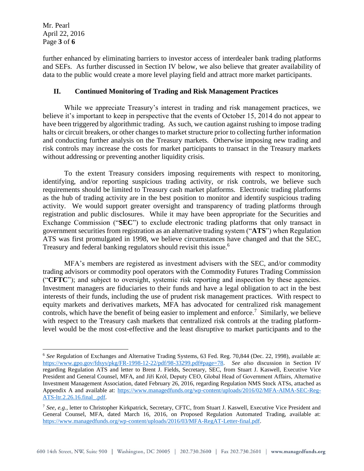Mr. Pearl April 22, 2016 Page **3** of **6**

 $\overline{a}$ 

further enhanced by eliminating barriers to investor access of interdealer bank trading platforms and SEFs. As further discussed in Section IV below, we also believe that greater availability of data to the public would create a more level playing field and attract more market participants.

# **II. Continued Monitoring of Trading and Risk Management Practices**

While we appreciate Treasury's interest in trading and risk management practices, we believe it's important to keep in perspective that the events of October 15, 2014 do not appear to have been triggered by algorithmic trading. As such, we caution against rushing to impose trading halts or circuit breakers, or other changes to market structure prior to collecting further information and conducting further analysis on the Treasury markets. Otherwise imposing new trading and risk controls may increase the costs for market participants to transact in the Treasury markets without addressing or preventing another liquidity crisis.

To the extent Treasury considers imposing requirements with respect to monitoring, identifying, and/or reporting suspicious trading activity, or risk controls, we believe such requirements should be limited to Treasury cash market platforms. Electronic trading platforms as the hub of trading activity are in the best position to monitor and identify suspicious trading activity. We would support greater oversight and transparency of trading platforms through registration and public disclosures. While it may have been appropriate for the Securities and Exchange Commission ("**SEC**") to exclude electronic trading platforms that only transact in government securities from registration as an alternative trading system ("**ATS**") when Regulation ATS was first promulgated in 1998, we believe circumstances have changed and that the SEC, Treasury and federal banking regulators should revisit this issue.<sup>6</sup>

MFA's members are registered as investment advisers with the SEC, and/or commodity trading advisors or commodity pool operators with the Commodity Futures Trading Commission ("**CFTC**"); and subject to oversight, systemic risk reporting and inspection by these agencies. Investment managers are fiduciaries to their funds and have a legal obligation to act in the best interests of their funds, including the use of prudent risk management practices. With respect to equity markets and derivatives markets, MFA has advocated for centralized risk management controls, which have the benefit of being easier to implement and enforce.<sup>7</sup> Similarly, we believe with respect to the Treasury cash markets that centralized risk controls at the trading platformlevel would be the most cost-effective and the least disruptive to market participants and to the

<sup>6</sup> *See* Regulation of Exchanges and Alternative Trading Systems, 63 Fed. Reg. 70,844 (Dec. 22, 1998), available at: [https://www.gpo.gov/fdsys/pkg/FR-1998-12-22/pdf/98-33299.pdf#page=78.](https://www.gpo.gov/fdsys/pkg/FR-1998-12-22/pdf/98-33299.pdf#page=78) *See also* discussion in Section IV regarding Regulation ATS and letter to Brent J. Fields, Secretary, SEC, from Stuart J. Kaswell, Executive Vice President and General Counsel, MFA, and Jiří Krόl, Deputy CEO, Global Head of Government Affairs, Alternative Investment Management Association, dated February 26, 2016, regarding Regulation NMS Stock ATSs, attached as Appendix A and available at: [https://www.managedfunds.org/wp-content/uploads/2016/02/MFA-AIMA-SEC-Reg-](https://www.managedfunds.org/wp-content/uploads/2016/02/MFA-AIMA-SEC-Reg-ATS-ltr.2.26.16.final_.pdf)[ATS-ltr.2.26.16.final\\_.pdf.](https://www.managedfunds.org/wp-content/uploads/2016/02/MFA-AIMA-SEC-Reg-ATS-ltr.2.26.16.final_.pdf)

<sup>7</sup> *See, e.g.,* letter to Christopher Kirkpatrick, Secretary, CFTC, from Stuart J. Kaswell, Executive Vice President and General Counsel, MFA, dated March 16, 2016, on Proposed Regulation Automated Trading, available at: [https://www.managedfunds.org/wp-content/uploads/2016/03/MFA-RegAT-Letter-final.pdf.](https://www.managedfunds.org/wp-content/uploads/2016/03/MFA-RegAT-Letter-final.pdf)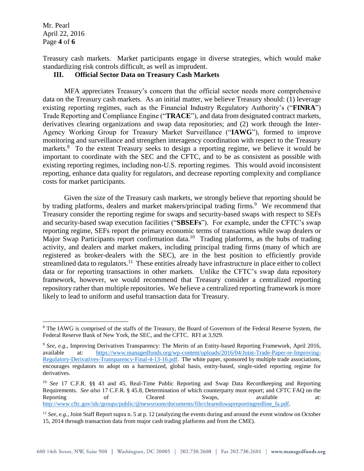Mr. Pearl April 22, 2016 Page **4** of **6**

 $\overline{a}$ 

Treasury cash markets. Market participants engage in diverse strategies, which would make standardizing risk controls difficult, as well as imprudent.

### **III. Official Sector Data on Treasury Cash Markets**

MFA appreciates Treasury's concern that the official sector needs more comprehensive data on the Treasury cash markets. As an initial matter, we believe Treasury should: (1) leverage existing reporting regimes, such as the Financial Industry Regulatory Authority's ("**FINRA**") Trade Reporting and Compliance Engine ("**TRACE**"), and data from designated contract markets, derivatives clearing organizations and swap data repositories; and (2) work through the Inter-Agency Working Group for Treasury Market Surveillance ("**IAWG**"), formed to improve monitoring and surveillance and strengthen interagency coordination with respect to the Treasury markets.<sup>8</sup> To the extent Treasury seeks to design a reporting regime, we believe it would be important to coordinate with the SEC and the CFTC, and to be as consistent as possible with existing reporting regimes, including non-U.S. reporting regimes. This would avoid inconsistent reporting, enhance data quality for regulators, and decrease reporting complexity and compliance costs for market participants.

Given the size of the Treasury cash markets, we strongly believe that reporting should be by trading platforms, dealers and market makers/principal trading firms.<sup>9</sup> We recommend that Treasury consider the reporting regime for swaps and security-based swaps with respect to SEFs and security-based swap execution facilities ("**SBSEFs**"). For example, under the CFTC's swap reporting regime, SEFs report the primary economic terms of transactions while swap dealers or Major Swap Participants report confirmation data.<sup>10</sup> Trading platforms, as the hubs of trading activity, and dealers and market makers, including principal trading firms (many of which are registered as broker-dealers with the SEC), are in the best position to efficiently provide streamlined data to regulators.<sup>11</sup> These entities already have infrastructure in place either to collect data or for reporting transactions in other markets. Unlike the CFTC's swap data repository framework, however, we would recommend that Treasury consider a centralized reporting repository rather than multiple repositories. We believe a centralized reporting framework is more likely to lead to uniform and useful transaction data for Treasury.

<sup>&</sup>lt;sup>8</sup> The IAWG is comprised of the staffs of the Treasury, the Board of Governors of the Federal Reserve System, the Federal Reserve Bank of New York, the SEC, and the CFTC. RFI at 3,929.

<sup>9</sup> *See, e.g.,* Improving Derivatives Transparency: The Merits of an Entity-based Reporting Framework, April 2016, available at: [https://www.managedfunds.org/wp-content/uploads/2016/04/Joint-Trade-Paper-re-Improving-](https://www.managedfunds.org/wp-content/uploads/2016/04/Joint-Trade-Paper-re-Improving-Regulatory-Derivatives-Transparency-Final-4-13-16.pdf)[Regulatory-Derivatives-Transparency-Final-4-13-16.pdf.](https://www.managedfunds.org/wp-content/uploads/2016/04/Joint-Trade-Paper-re-Improving-Regulatory-Derivatives-Transparency-Final-4-13-16.pdf) The white paper, sponsored by multiple trade associations, encourages regulators to adopt on a harmonized, global basis, entity-based, single-sided reporting regime for derivatives.

<sup>10</sup> *See* 17 C.F.R. §§ 43 and 45, Real-Time Public Reporting and Swap Data Recordkeeping and Reporting Requirements. *See also* 17 C.F.R. § 45.8, Determination of which counterparty must report; and CFTC FAQ on the Reporting of Cleared Swaps, available at: [http://www.cftc.gov/idc/groups/public/@newsroom/documents/file/clearedswapreportingredline\\_fa.pdf.](http://www.cftc.gov/idc/groups/public/@newsroom/documents/file/clearedswapreportingredline_fa.pdf) 

<sup>&</sup>lt;sup>11</sup> *See, e.g.*, Joint Staff Report supra n. 5 at p. 12 (analyzing the events during and around the event window on October 15, 2014 through transaction data from major cash trading platforms and from the CME).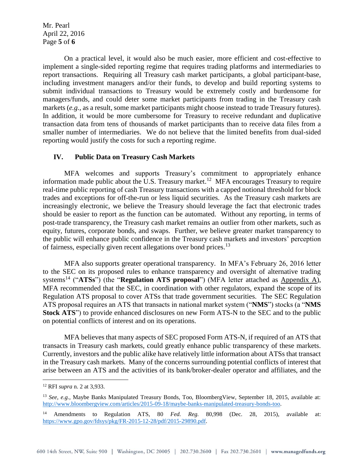Mr. Pearl April 22, 2016 Page **5** of **6**

On a practical level, it would also be much easier, more efficient and cost-effective to implement a single-sided reporting regime that requires trading platforms and intermediaries to report transactions. Requiring all Treasury cash market participants, a global participant-base, including investment managers and/or their funds, to develop and build reporting systems to submit individual transactions to Treasury would be extremely costly and burdensome for managers/funds, and could deter some market participants from trading in the Treasury cash markets (*e.g.,* as a result, some market participants might choose instead to trade Treasury futures). In addition, it would be more cumbersome for Treasury to receive redundant and duplicative transaction data from tens of thousands of market participants than to receive data files from a smaller number of intermediaries. We do not believe that the limited benefits from dual-sided reporting would justify the costs for such a reporting regime.

#### **IV. Public Data on Treasury Cash Markets**

MFA welcomes and supports Treasury's commitment to appropriately enhance information made public about the U.S. Treasury market.<sup>12</sup> MFA encourages Treasury to require real-time public reporting of cash Treasury transactions with a capped notional threshold for block trades and exceptions for off-the-run or less liquid securities. As the Treasury cash markets are increasingly electronic, we believe the Treasury should leverage the fact that electronic trades should be easier to report as the function can be automated. Without any reporting, in terms of post-trade transparency, the Treasury cash market remains an outlier from other markets, such as equity, futures, corporate bonds, and swaps. Further, we believe greater market transparency to the public will enhance public confidence in the Treasury cash markets and investors' perception of fairness, especially given recent allegations over bond prices.<sup>13</sup>

MFA also supports greater operational transparency. In MFA's February 26, 2016 letter to the SEC on its proposed rules to enhance transparency and oversight of alternative trading systems<sup>14</sup> ("ATSs") (the "Regulation ATS proposal") (MFA letter attached as Appendix A), MFA recommended that the SEC, in coordination with other regulators, expand the scope of its Regulation ATS proposal to cover ATSs that trade government securities. The SEC Regulation ATS proposal requires an ATS that transacts in national market system ("**NMS**") stocks (a "**NMS Stock ATS**") to provide enhanced disclosures on new Form ATS-N to the SEC and to the public on potential conflicts of interest and on its operations.

MFA believes that many aspects of SEC proposed Form ATS-N, if required of an ATS that transacts in Treasury cash markets, could greatly enhance public transparency of these markets. Currently, investors and the public alike have relatively little information about ATSs that transact in the Treasury cash markets. Many of the concerns surrounding potential conflicts of interest that arise between an ATS and the activities of its bank/broker-dealer operator and affiliates, and the

<sup>12</sup> RFI *supra* n. 2 at 3,933.

<sup>&</sup>lt;sup>13</sup> See, e.g., Maybe Banks Manipulated Treasury Bonds, Too, BloombergView, September 18, 2015, available at: [http://www.bloombergview.com/articles/2015-09-18/maybe-banks-manipulated-treasury-bonds-too.](http://www.bloombergview.com/articles/2015-09-18/maybe-banks-manipulated-treasury-bonds-too) 

<sup>14</sup> Amendments to Regulation ATS, 80 *Fed. Reg.* 80,998 (Dec. 28, 2015), available at: [https://www.gpo.gov/fdsys/pkg/FR-2015-12-28/pdf/2015-29890.pdf.](https://www.gpo.gov/fdsys/pkg/FR-2015-12-28/pdf/2015-29890.pdf)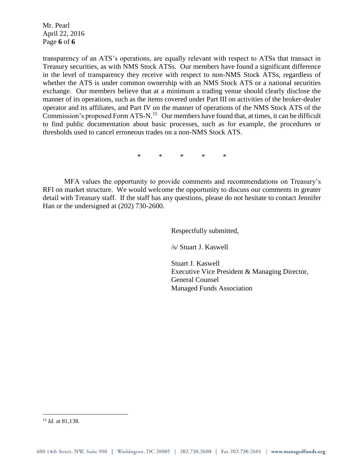Mr. Pearl April 22, 2016 Page **6** of **6**

transparency of an ATS's operations, are equally relevant with respect to ATSs that transact in Treasury securities, as with NMS Stock ATSs. Our members have found a significant difference in the level of transparency they receive with respect to non-NMS Stock ATSs, regardless of whether the ATS is under common ownership with an NMS Stock ATS or a national securities exchange. Our members believe that at a minimum a trading venue should clearly disclose the manner of its operations, such as the items covered under Part III on activities of the broker-dealer operator and its affiliates, and Part IV on the manner of operations of the NMS Stock ATS of the Commission's proposed Form ATS-N.<sup>15</sup> Our members have found that, at times, it can be difficult to find public documentation about basic processes, such as for example, the procedures or thresholds used to cancel erroneous trades on a non-NMS Stock ATS.

\* \* \* \* \*

MFA values the opportunity to provide comments and recommendations on Treasury's RFI on market structure. We would welcome the opportunity to discuss our comments in greater detail with Treasury staff. If the staff has any questions, please do not hesitate to contact Jennifer Han or the undersigned at (202) 730-2600.

Respectfully submitted,

/s/ Stuart J. Kaswell

Stuart J. Kaswell Executive Vice President & Managing Director, General Counsel Managed Funds Association

<sup>15</sup> *Id.* at 81,138.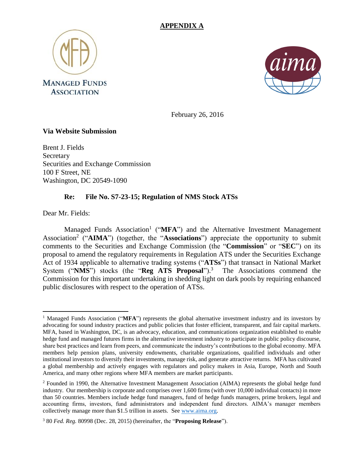



February 26, 2016

## **Via Website Submission**

Brent J. Fields Secretary Securities and Exchange Commission 100 F Street, NE Washington, DC 20549-1090

# **Re: File No. S7-23-15; Regulation of NMS Stock ATSs**

Dear Mr. Fields:

Managed Funds Association<sup>1</sup> ("MFA") and the Alternative Investment Management Association<sup>2</sup> ("AIMA") (together, the "Associations") appreciate the opportunity to submit comments to the Securities and Exchange Commission (the "**Commission**" or "**SEC**") on its proposal to amend the regulatory requirements in Regulation ATS under the Securities Exchange Act of 1934 applicable to alternative trading systems ("**ATSs**") that transact in National Market System ("**NMS**") stocks (the "**Reg ATS Proposal**"). 3 The Associations commend the Commission for this important undertaking in shedding light on dark pools by requiring enhanced public disclosures with respect to the operation of ATSs.

 $\overline{a}$ <sup>1</sup> Managed Funds Association ("**MFA**") represents the global alternative investment industry and its investors by advocating for sound industry practices and public policies that foster efficient, transparent, and fair capital markets. MFA, based in Washington, DC, is an advocacy, education, and communications organization established to enable hedge fund and managed futures firms in the alternative investment industry to participate in public policy discourse, share best practices and learn from peers, and communicate the industry's contributions to the global economy. MFA members help pension plans, university endowments, charitable organizations, qualified individuals and other institutional investors to diversify their investments, manage risk, and generate attractive returns. MFA has cultivated a global membership and actively engages with regulators and policy makers in Asia, Europe, North and South America, and many other regions where MFA members are market participants.

<sup>2</sup> Founded in 1990, the Alternative Investment Management Association (AIMA) represents the global hedge fund industry. Our membership is corporate and comprises over 1,600 firms (with over 10,000 individual contacts) in more than 50 countries. Members include hedge fund managers, fund of hedge funds managers, prime brokers, legal and accounting firms, investors, fund administrators and independent fund directors. AIMA's manager members collectively manage more than \$1.5 trillion in assets. See [www.aima.org.](http://www.aima.org/)

<sup>3</sup> 80 *Fed. Reg.* 80998 (Dec. 28, 2015) (hereinafter, the "**Proposing Release**").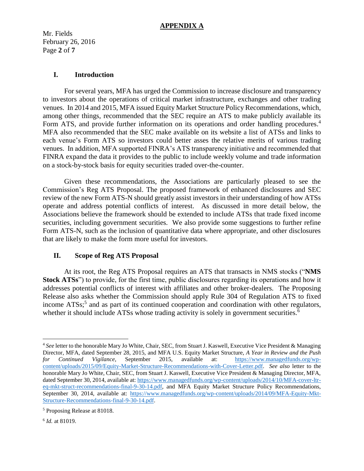Mr. Fields February 26, 2016 Page **2** of **7**

### **I. Introduction**

For several years, MFA has urged the Commission to increase disclosure and transparency to investors about the operations of critical market infrastructure, exchanges and other trading venues. In 2014 and 2015, MFA issued Equity Market Structure Policy Recommendations, which, among other things, recommended that the SEC require an ATS to make publicly available its Form ATS, and provide further information on its operations and order handling procedures.<sup>4</sup> MFA also recommended that the SEC make available on its website a list of ATSs and links to each venue's Form ATS so investors could better asses the relative merits of various trading venues. In addition, MFA supported FINRA's ATS transparency initiative and recommended that FINRA expand the data it provides to the public to include weekly volume and trade information on a stock-by-stock basis for equity securities traded over-the-counter.

Given these recommendations, the Associations are particularly pleased to see the Commission's Reg ATS Proposal. The proposed framework of enhanced disclosures and SEC review of the new Form ATS-N should greatly assist investors in their understanding of how ATSs operate and address potential conflicts of interest. As discussed in more detail below, the Associations believe the framework should be extended to include ATSs that trade fixed income securities, including government securities. We also provide some suggestions to further refine Form ATS-N, such as the inclusion of quantitative data where appropriate, and other disclosures that are likely to make the form more useful for investors.

# **II. Scope of Reg ATS Proposal**

At its root, the Reg ATS Proposal requires an ATS that transacts in NMS stocks ("**NMS Stock ATSs**") to provide, for the first time, public disclosures regarding its operations and how it addresses potential conflicts of interest with affiliates and other broker-dealers. The Proposing Release also asks whether the Commission should apply Rule 304 of Regulation ATS to fixed income ATSs;<sup>5</sup> and as part of its continued cooperation and coordination with other regulators, whether it should include ATSs whose trading activity is solely in government securities.<sup>6</sup>

<sup>4</sup> *See* letter to the honorable Mary Jo White, Chair, SEC, from Stuart J. Kaswell, Executive Vice President & Managing Director, MFA, dated September 28, 2015, and MFA U.S. Equity Market Structure, *A Year in Review and the Push for Continued Vigilance*, September 2015, available at: [https://www.managedfunds.org/wp](https://www.managedfunds.org/wp-content/uploads/2015/09/Equity-Market-Structure-Recommendations-with-Cover-Letter.pdf)[content/uploads/2015/09/Equity-Market-Structure-Recommendations-with-Cover-Letter.pdf.](https://www.managedfunds.org/wp-content/uploads/2015/09/Equity-Market-Structure-Recommendations-with-Cover-Letter.pdf) *See also* letter to the honorable Mary Jo White, Chair, SEC, from Stuart J. Kaswell, Executive Vice President & Managing Director, MFA, dated September 30, 2014, available at: [https://www.managedfunds.org/wp-content/uploads/2014/10/MFA-cover-ltr](https://www.managedfunds.org/wp-content/uploads/2014/10/MFA-cover-ltr-eq-mkt-struct-recommendations-final-9-30-14.pdf)[eq-mkt-struct-recommendations-final-9-30-14.pdf,](https://www.managedfunds.org/wp-content/uploads/2014/10/MFA-cover-ltr-eq-mkt-struct-recommendations-final-9-30-14.pdf) and MFA Equity Market Structure Policy Recommendations, September 30, 2014, available at: [https://www.managedfunds.org/wp-content/uploads/2014/09/MFA-Equity-Mkt-](https://www.managedfunds.org/wp-content/uploads/2014/09/MFA-Equity-Mkt-Structure-Recommendations-final-9-30-14.pdf)[Structure-Recommendations-final-9-30-14.pdf.](https://www.managedfunds.org/wp-content/uploads/2014/09/MFA-Equity-Mkt-Structure-Recommendations-final-9-30-14.pdf)

<sup>5</sup> Proposing Release at 81018.

<sup>6</sup> *Id.* at 81019.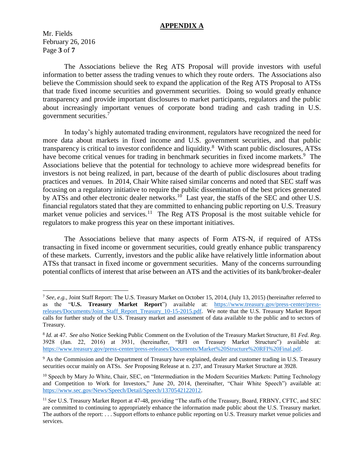Mr. Fields February 26, 2016 Page **3** of **7**

 $\overline{a}$ 

The Associations believe the Reg ATS Proposal will provide investors with useful information to better assess the trading venues to which they route orders. The Associations also believe the Commission should seek to expand the application of the Reg ATS Proposal to ATSs that trade fixed income securities and government securities. Doing so would greatly enhance transparency and provide important disclosures to market participants, regulators and the public about increasingly important venues of corporate bond trading and cash trading in U.S. government securities.<sup>7</sup>

In today's highly automated trading environment, regulators have recognized the need for more data about markets in fixed income and U.S. government securities, and that public transparency is critical to investor confidence and liquidity.<sup>8</sup> With scant public disclosures, ATSs have become critical venues for trading in benchmark securities in fixed income markets.<sup>9</sup> The Associations believe that the potential for technology to achieve more widespread benefits for investors is not being realized, in part, because of the dearth of public disclosures about trading practices and venues. In 2014, Chair White raised similar concerns and noted that SEC staff was focusing on a regulatory initiative to require the public dissemination of the best prices generated by ATSs and other electronic dealer networks.<sup>10</sup> Last year, the staffs of the SEC and other U.S. financial regulators stated that they are committed to enhancing public reporting on U.S. Treasury market venue policies and services.<sup>11</sup> The Reg ATS Proposal is the most suitable vehicle for regulators to make progress this year on these important initiatives.

The Associations believe that many aspects of Form ATS-N, if required of ATSs transacting in fixed income or government securities, could greatly enhance public transparency of these markets. Currently, investors and the public alike have relatively little information about ATSs that transact in fixed income or government securities. Many of the concerns surrounding potential conflicts of interest that arise between an ATS and the activities of its bank/broker-dealer

<sup>7</sup> *See, e.g.,* Joint Staff Report: The U.S. Treasury Market on October 15, 2014, (July 13, 2015) (hereinafter referred to as the "**U.S. Treasury Market Report**") available at: [https://www.treasury.gov/press-center/press](https://www.treasury.gov/press-center/press-releases/Documents/Joint_Staff_Report_Treasury_10-15-2015.pdf)[releases/Documents/Joint\\_Staff\\_Report\\_Treasury\\_10-15-2015.pdf.](https://www.treasury.gov/press-center/press-releases/Documents/Joint_Staff_Report_Treasury_10-15-2015.pdf) We note that the U.S. Treasury Market Report calls for further study of the U.S. Treasury market and assessment of data available to the public and to sectors of Treasury.

<sup>8</sup> *Id.* at 47. *See also* Notice Seeking Public Comment on the Evolution of the Treasury Market Structure, 81 *Fed. Reg.* 3928 (Jan. 22, 2016) at 3931, (hereinafter, "RFI on Treasury Market Structure") available at: [https://www.treasury.gov/press-center/press-releases/Documents/Market%20Structure%20RFI%20Final.pdf.](https://www.treasury.gov/press-center/press-releases/Documents/Market%20Structure%20RFI%20Final.pdf)

<sup>&</sup>lt;sup>9</sup> As the Commission and the Department of Treasury have explained, dealer and customer trading in U.S. Treasury securities occur mainly on ATSs. *See* Proposing Release at n. 237, and Treasury Market Structure at 3928.

<sup>&</sup>lt;sup>10</sup> Speech by Mary Jo White, Chair, SEC, on "Intermediation in the Modern Securities Markets: Putting Technology and Competition to Work for Investors," June 20, 2014, (hereinafter, "Chair White Speech") available at: [https://www.sec.gov/News/Speech/Detail/Speech/1370542122012.](https://www.sec.gov/News/Speech/Detail/Speech/1370542122012)

<sup>&</sup>lt;sup>11</sup> See U.S. Treasury Market Report at 47-48, providing "The staffs of the Treasury, Board, FRBNY, CFTC, and SEC are committed to continuing to appropriately enhance the information made public about the U.S. Treasury market. The authors of the report: . . . Support efforts to enhance public reporting on U.S. Treasury market venue policies and services.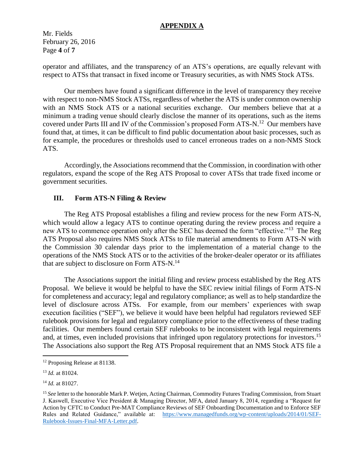Mr. Fields February 26, 2016 Page **4** of **7**

operator and affiliates, and the transparency of an ATS's operations, are equally relevant with respect to ATSs that transact in fixed income or Treasury securities, as with NMS Stock ATSs.

Our members have found a significant difference in the level of transparency they receive with respect to non-NMS Stock ATSs, regardless of whether the ATS is under common ownership with an NMS Stock ATS or a national securities exchange. Our members believe that at a minimum a trading venue should clearly disclose the manner of its operations, such as the items covered under Parts III and IV of the Commission's proposed Form ATS-N.<sup>12</sup> Our members have found that, at times, it can be difficult to find public documentation about basic processes, such as for example, the procedures or thresholds used to cancel erroneous trades on a non-NMS Stock ATS.

Accordingly, the Associations recommend that the Commission, in coordination with other regulators, expand the scope of the Reg ATS Proposal to cover ATSs that trade fixed income or government securities.

### **III. Form ATS-N Filing & Review**

The Reg ATS Proposal establishes a filing and review process for the new Form ATS-N, which would allow a legacy ATS to continue operating during the review process and require a new ATS to commence operation only after the SEC has deemed the form "effective."<sup>13</sup> The Reg ATS Proposal also requires NMS Stock ATSs to file material amendments to Form ATS-N with the Commission 30 calendar days prior to the implementation of a material change to the operations of the NMS Stock ATS or to the activities of the broker-dealer operator or its affiliates that are subject to disclosure on Form ATS-N.<sup>14</sup>

The Associations support the initial filing and review process established by the Reg ATS Proposal. We believe it would be helpful to have the SEC review initial filings of Form ATS-N for completeness and accuracy; legal and regulatory compliance; as well as to help standardize the level of disclosure across ATSs. For example, from our members' experiences with swap execution facilities ("SEF"), we believe it would have been helpful had regulators reviewed SEF rulebook provisions for legal and regulatory compliance prior to the effectiveness of these trading facilities. Our members found certain SEF rulebooks to be inconsistent with legal requirements and, at times, even included provisions that infringed upon regulatory protections for investors. 15 The Associations also support the Reg ATS Proposal requirement that an NMS Stock ATS file a

<sup>12</sup> Proposing Release at 81138.

<sup>13</sup> *Id.* at 81024.

<sup>14</sup> *Id.* at 81027.

<sup>15</sup> *See* letter to the honorable Mark P. Wetjen, Acting Chairman, Commodity Futures Trading Commission, from Stuart J. Kaswell, Executive Vice President & Managing Director, MFA, dated January 8, 2014, regarding a "Request for Action by CFTC to Conduct Pre-MAT Compliance Reviews of SEF Onboarding Documentation and to Enforce SEF Rules and Related Guidance," available at: [https://www.managedfunds.org/wp-content/uploads/2014/01/SEF-](https://www.managedfunds.org/wp-content/uploads/2014/01/SEF-Rulebook-Issues-Final-MFA-Letter.pdf)[Rulebook-Issues-Final-MFA-Letter.pdf.](https://www.managedfunds.org/wp-content/uploads/2014/01/SEF-Rulebook-Issues-Final-MFA-Letter.pdf)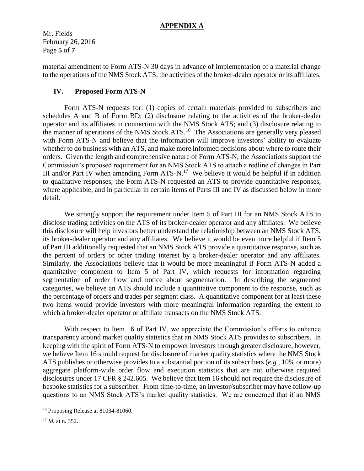Mr. Fields February 26, 2016 Page **5** of **7**

material amendment to Form ATS-N 30 days in advance of implementation of a material change to the operations of the NMS Stock ATS, the activities of the broker-dealer operator or its affiliates.

# **IV. Proposed Form ATS-N**

Form ATS-N requests for: (1) copies of certain materials provided to subscribers and schedules A and B of Form BD; (2) disclosure relating to the activities of the broker-dealer operator and its affiliates in connection with the NMS Stock ATS; and (3) disclosure relating to the manner of operations of the NMS Stock ATS.<sup>16</sup> The Associations are generally very pleased with Form ATS-N and believe that the information will improve investors' ability to evaluate whether to do business with an ATS, and make more informed decisions about where to route their orders. Given the length and comprehensive nature of Form ATS-N, the Associations support the Commission's proposed requirement for an NMS Stock ATS to attach a redline of changes in Part III and/or Part IV when amending Form  $ATS-N$ .<sup>17</sup> We believe it would be helpful if in addition to qualitative responses, the Form ATS-N requested an ATS to provide quantitative responses, where applicable, and in particular in certain items of Parts III and IV as discussed below in more detail.

We strongly support the requirement under Item 5 of Part III for an NMS Stock ATS to disclose trading activities on the ATS of its broker-dealer operator and any affiliates. We believe this disclosure will help investors better understand the relationship between an NMS Stock ATS, its broker-dealer operator and any affiliates. We believe it would be even more helpful if Item 5 of Part III additionally requested that an NMS Stock ATS provide a quantitative response, such as the percent of orders or other trading interest by a broker-dealer operator and any affiliates. Similarly, the Associations believe that it would be more meaningful if Form ATS-N added a quantitative component to Item 5 of Part IV, which requests for information regarding segmentation of order flow and notice about segmentation. In describing the segmented categories, we believe an ATS should include a quantitative component to the response, such as the percentage of orders and trades per segment class. A quantitative component for at least these two items would provide investors with more meaningful information regarding the extent to which a broker-dealer operator or affiliate transacts on the NMS Stock ATS.

With respect to Item 16 of Part IV, we appreciate the Commission's efforts to enhance transparency around market quality statistics that an NMS Stock ATS provides to subscribers. In keeping with the spirit of Form ATS-N to empower investors through greater disclosure, however, we believe Item 16 should request for disclosure of market quality statistics where the NMS Stock ATS publishes or otherwise provides to a substantial portion of its subscribers (*e.g.,* 10% or more) aggregate platform-wide order flow and execution statistics that are not otherwise required disclosures under 17 CFR § 242.605. We believe that Item 16 should not require the disclosure of bespoke statistics for a subscriber. From time-to-time, an investor/subscriber may have follow-up questions to an NMS Stock ATS's market quality statistics. We are concerned that if an NMS

<sup>&</sup>lt;sup>16</sup> Proposing Release at 81034-81060.

<sup>17</sup> *Id.* at n. 352.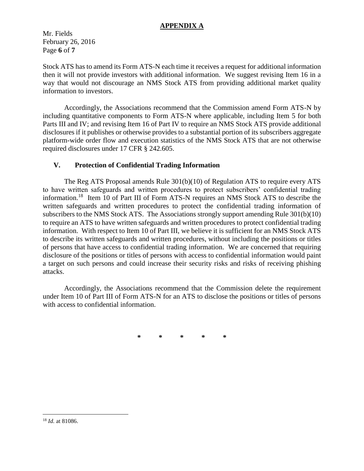Mr. Fields February 26, 2016 Page **6** of **7**

Stock ATS has to amend its Form ATS-N each time it receives a request for additional information then it will not provide investors with additional information. We suggest revising Item 16 in a way that would not discourage an NMS Stock ATS from providing additional market quality information to investors.

Accordingly, the Associations recommend that the Commission amend Form ATS-N by including quantitative components to Form ATS-N where applicable, including Item 5 for both Parts III and IV; and revising Item 16 of Part IV to require an NMS Stock ATS provide additional disclosures if it publishes or otherwise provides to a substantial portion of its subscribers aggregate platform-wide order flow and execution statistics of the NMS Stock ATS that are not otherwise required disclosures under 17 CFR § 242.605.

# **V. Protection of Confidential Trading Information**

The Reg ATS Proposal amends Rule 301(b)(10) of Regulation ATS to require every ATS to have written safeguards and written procedures to protect subscribers' confidential trading information.<sup>18</sup> Item 10 of Part III of Form ATS-N requires an NMS Stock ATS to describe the written safeguards and written procedures to protect the confidential trading information of subscribers to the NMS Stock ATS. The Associations strongly support amending Rule 301(b)(10) to require an ATS to have written safeguards and written procedures to protect confidential trading information. With respect to Item 10 of Part III, we believe it is sufficient for an NMS Stock ATS to describe its written safeguards and written procedures, without including the positions or titles of persons that have access to confidential trading information. We are concerned that requiring disclosure of the positions or titles of persons with access to confidential information would paint a target on such persons and could increase their security risks and risks of receiving phishing attacks.

Accordingly, the Associations recommend that the Commission delete the requirement under Item 10 of Part III of Form ATS-N for an ATS to disclose the positions or titles of persons with access to confidential information.

**\* \* \* \* \***

<sup>18</sup> *Id.* at 81086.